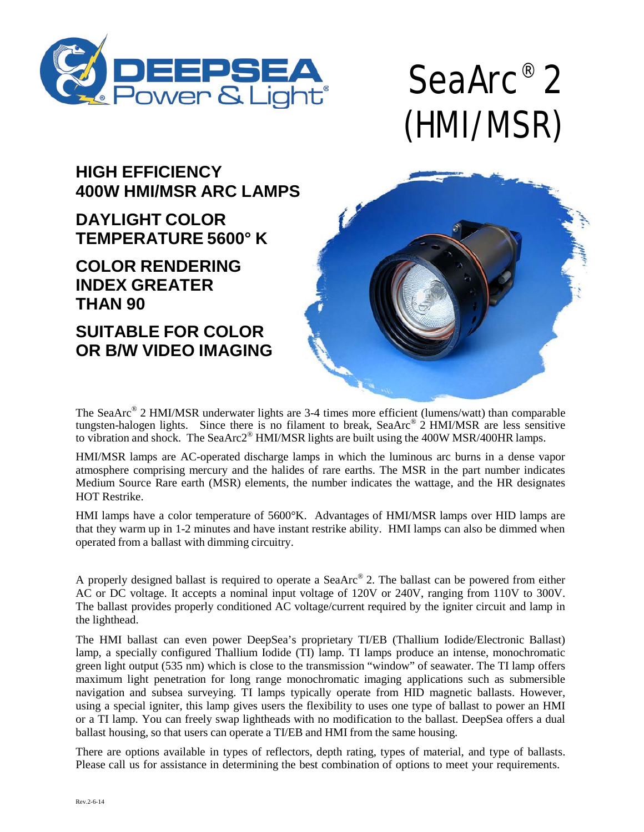

# SeaArc® 2 (HMI/MSR)

#### **HIGH EFFICIENCY 400W HMI/MSR ARC LAMPS**

## **DAYLIGHT COLOR TEMPERATURE 5600° K**

## **COLOR RENDERING INDEX GREATER THAN 90**

**SUITABLE FOR COLOR OR B/W VIDEO IMAGING**



The SeaArc® 2 HMI/MSR underwater lights are 3-4 times more efficient (lumens/watt) than comparable tungsten-halogen lights. Since there is no filament to break, SeaArc<sup>®</sup> 2 HMI/MSR are less sensitive to vibration and shock. The SeaArc2® HMI/MSR lights are built using the 400W MSR/400HR lamps.

HMI/MSR lamps are AC-operated discharge lamps in which the luminous arc burns in a dense vapor atmosphere comprising mercury and the halides of rare earths. The MSR in the part number indicates Medium Source Rare earth (MSR) elements, the number indicates the wattage, and the HR designates HOT Restrike.

HMI lamps have a color temperature of 5600°K. Advantages of HMI/MSR lamps over HID lamps are that they warm up in 1-2 minutes and have instant restrike ability. HMI lamps can also be dimmed when operated from a ballast with dimming circuitry.

A properly designed ballast is required to operate a SeaArc® 2. The ballast can be powered from either AC or DC voltage. It accepts a nominal input voltage of 120V or 240V, ranging from 110V to 300V. The ballast provides properly conditioned AC voltage/current required by the igniter circuit and lamp in the lighthead.

The HMI ballast can even power DeepSea's proprietary TI/EB (Thallium Iodide/Electronic Ballast) lamp, a specially configured Thallium Iodide (TI) lamp. TI lamps produce an intense, monochromatic green light output (535 nm) which is close to the transmission "window" of seawater. The TI lamp offers maximum light penetration for long range monochromatic imaging applications such as submersible navigation and subsea surveying. TI lamps typically operate from HID magnetic ballasts. However, using a special igniter, this lamp gives users the flexibility to uses one type of ballast to power an HMI or a TI lamp. You can freely swap lightheads with no modification to the ballast. DeepSea offers a dual ballast housing, so that users can operate a TI/EB and HMI from the same housing.

There are options available in types of reflectors, depth rating, types of material, and type of ballasts. Please call us for assistance in determining the best combination of options to meet your requirements.